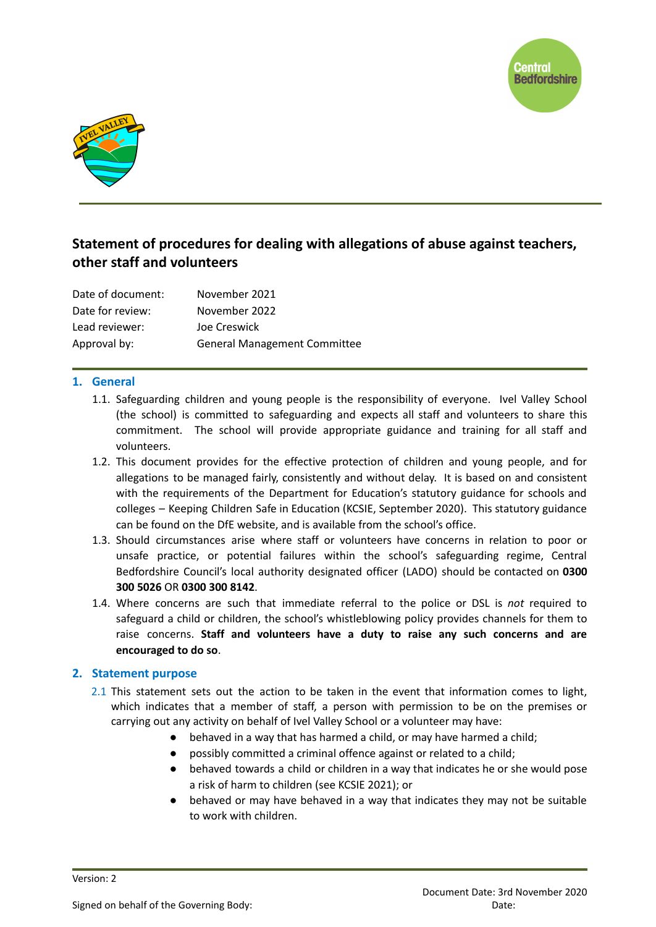



# **Statement of procedures for dealing with allegations of abuse against teachers, other staff and volunteers**

| Date of document: | November 2021                       |
|-------------------|-------------------------------------|
| Date for review:  | November 2022                       |
| Lead reviewer:    | Joe Creswick                        |
| Approval by:      | <b>General Management Committee</b> |

## **1. General**

- 1.1. Safeguarding children and young people is the responsibility of everyone. Ivel Valley School (the school) is committed to safeguarding and expects all staff and volunteers to share this commitment. The school will provide appropriate guidance and training for all staff and volunteers.
- 1.2. This document provides for the effective protection of children and young people, and for allegations to be managed fairly, consistently and without delay. It is based on and consistent with the requirements of the Department for Education's statutory guidance for schools and colleges – Keeping Children Safe in Education (KCSIE, September 2020). This statutory guidance can be found on the DfE website, and is available from the school's office.
- 1.3. Should circumstances arise where staff or volunteers have concerns in relation to poor or unsafe practice, or potential failures within the school's safeguarding regime, Central Bedfordshire Council's local authority designated officer (LADO) should be contacted on **0300 300 5026** OR **0300 300 8142**.
- 1.4. Where concerns are such that immediate referral to the police or DSL is *not* required to safeguard a child or children, the school's whistleblowing policy provides channels for them to raise concerns. **Staff and volunteers have a duty to raise any such concerns and are encouraged to do so**.

## **2. Statement purpose**

- 2.1 This statement sets out the action to be taken in the event that information comes to light, which indicates that a member of staff, a person with permission to be on the premises or carrying out any activity on behalf of Ivel Valley School or a volunteer may have:
	- behaved in a way that has harmed a child, or may have harmed a child;
	- possibly committed a criminal offence against or related to a child:
	- behaved towards a child or children in a way that indicates he or she would pose a risk of harm to children (see KCSIE 2021); or
	- behaved or may have behaved in a way that indicates they may not be suitable to work with children.

Version: 2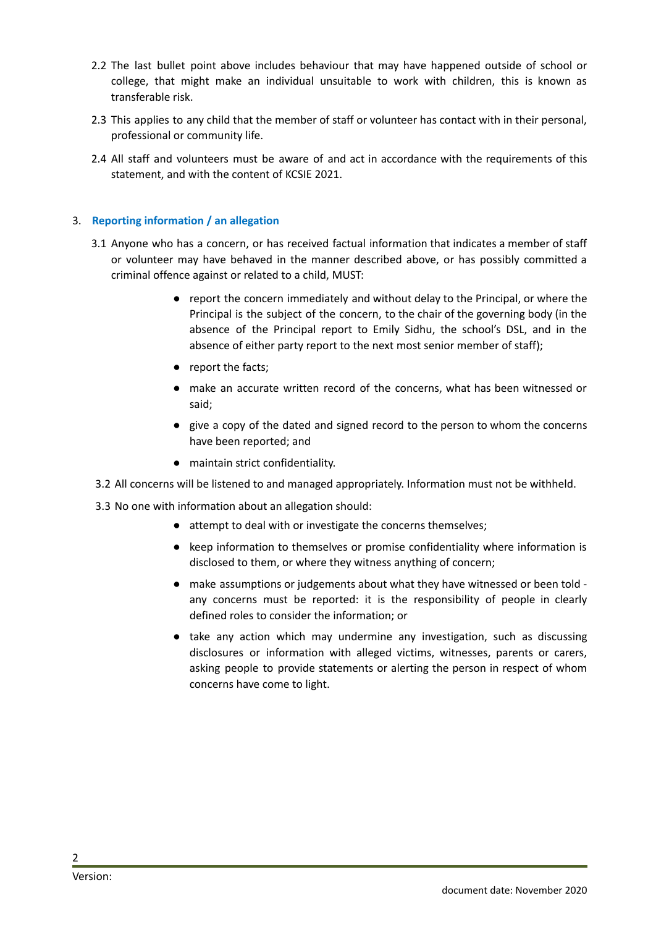- 2.2 The last bullet point above includes behaviour that may have happened outside of school or college, that might make an individual unsuitable to work with children, this is known as transferable risk.
- 2.3 This applies to any child that the member of staff or volunteer has contact with in their personal, professional or community life.
- 2.4 All staff and volunteers must be aware of and act in accordance with the requirements of this statement, and with the content of KCSIE 2021.

#### 3. **Reporting information / an allegation**

- 3.1 Anyone who has a concern, or has received factual information that indicates a member of staff or volunteer may have behaved in the manner described above, or has possibly committed a criminal offence against or related to a child, MUST:
	- report the concern immediately and without delay to the Principal, or where the Principal is the subject of the concern, to the chair of the governing body (in the absence of the Principal report to Emily Sidhu, the school's DSL, and in the absence of either party report to the next most senior member of staff);
	- report the facts;
	- make an accurate written record of the concerns, what has been witnessed or said;
	- give a copy of the dated and signed record to the person to whom the concerns have been reported; and
	- maintain strict confidentiality.
- 3.2 All concerns will be listened to and managed appropriately. Information must not be withheld.

3.3 No one with information about an allegation should:

- attempt to deal with or investigate the concerns themselves;
- keep information to themselves or promise confidentiality where information is disclosed to them, or where they witness anything of concern;
- make assumptions or judgements about what they have witnessed or been told any concerns must be reported: it is the responsibility of people in clearly defined roles to consider the information; or
- take any action which may undermine any investigation, such as discussing disclosures or information with alleged victims, witnesses, parents or carers, asking people to provide statements or alerting the person in respect of whom concerns have come to light.

2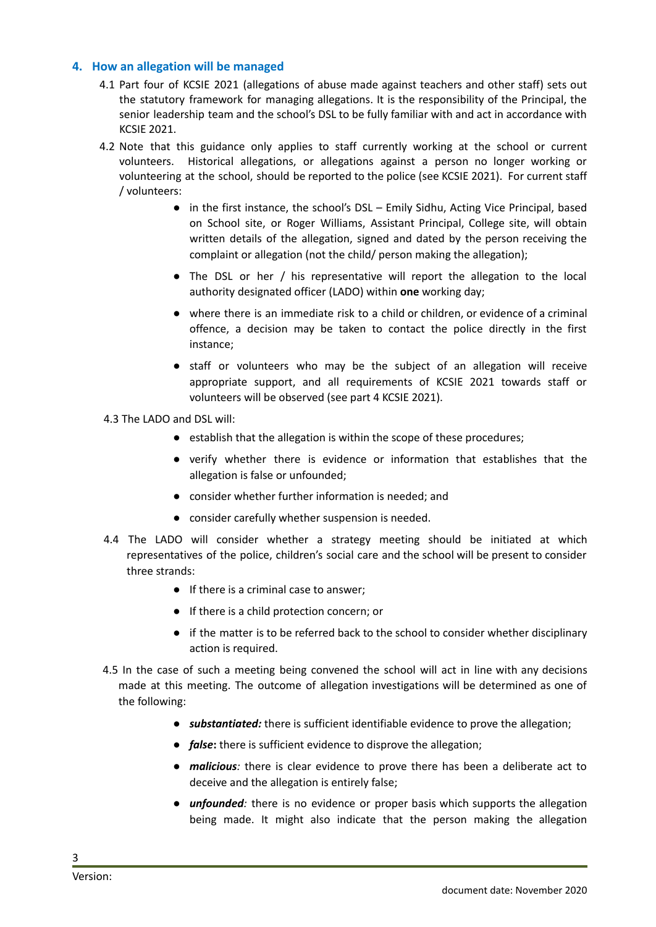#### **4. How an allegation will be managed**

- 4.1 Part four of KCSIE 2021 (allegations of abuse made against teachers and other staff) sets out the statutory framework for managing allegations. It is the responsibility of the Principal, the senior leadership team and the school's DSL to be fully familiar with and act in accordance with KCSIE 2021.
- 4.2 Note that this guidance only applies to staff currently working at the school or current volunteers. Historical allegations, or allegations against a person no longer working or volunteering at the school, should be reported to the police (see KCSIE 2021). For current staff / volunteers:
	- in the first instance, the school's DSL Emily Sidhu, Acting Vice Principal, based on School site, or Roger Williams, Assistant Principal, College site, will obtain written details of the allegation, signed and dated by the person receiving the complaint or allegation (not the child/ person making the allegation);
	- The DSL or her / his representative will report the allegation to the local authority designated officer (LADO) within **one** working day;
	- where there is an immediate risk to a child or children, or evidence of a criminal offence, a decision may be taken to contact the police directly in the first instance;
	- staff or volunteers who may be the subject of an allegation will receive appropriate support, and all requirements of KCSIE 2021 towards staff or volunteers will be observed (see part 4 KCSIE 2021).
- 4.3 The LADO and DSL will:
	- establish that the allegation is within the scope of these procedures;
	- verify whether there is evidence or information that establishes that the allegation is false or unfounded;
	- consider whether further information is needed; and
	- consider carefully whether suspension is needed.
- 4.4 The LADO will consider whether a strategy meeting should be initiated at which representatives of the police, children's social care and the school will be present to consider three strands:
	- If there is a criminal case to answer;
	- If there is a child protection concern; or
	- if the matter is to be referred back to the school to consider whether disciplinary action is required.
- 4.5 In the case of such a meeting being convened the school will act in line with any decisions made at this meeting. The outcome of allegation investigations will be determined as one of the following:
	- *substantiated:* there is sufficient identifiable evidence to prove the allegation;
	- *false***:** there is sufficient evidence to disprove the allegation;
	- *malicious:* there is clear evidence to prove there has been a deliberate act to deceive and the allegation is entirely false;
	- *unfounded:* there is no evidence or proper basis which supports the allegation being made. It might also indicate that the person making the allegation

3